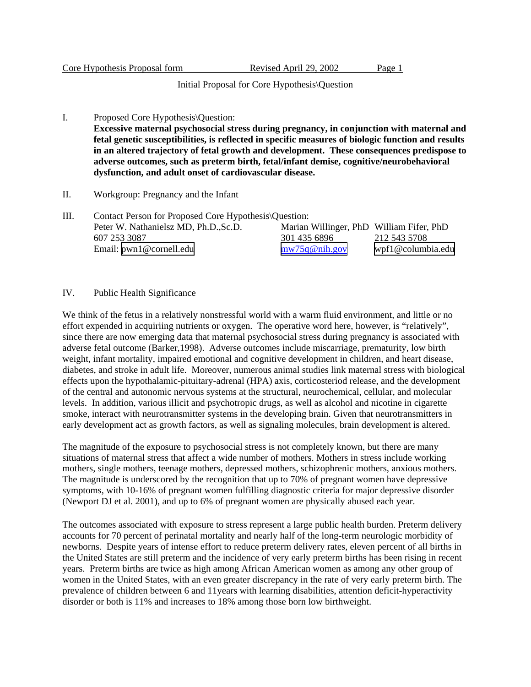|  | Core Hypothesis Proposal form |  |  |
|--|-------------------------------|--|--|
|  |                               |  |  |

Initial Proposal for Core Hypothesis\Question

- I. Proposed Core Hypothesis\Question: **Excessive maternal psychosocial stress during pregnancy, in conjunction with maternal and fetal genetic susceptibilities, is reflected in specific measures of biologic function and results in an altered trajectory of fetal growth and development. These consequences predispose to adverse outcomes, such as preterm birth, fetal/infant demise, cognitive/neurobehavioral dysfunction, and adult onset of cardiovascular disease.**
- II. Workgroup: Pregnancy and the Infant
- III. Contact Person for Proposed Core Hypothesis\Question: Peter W. Nathanielsz MD, Ph.D.,Sc.D. 607 253 3087 Email: [pwn1@cornell.edu](mailto:pwn1@cornell.edu) Marian Willinger, PhD William Fifer, PhD 301 435 6896 [mw75q@nih.gov](mailto:mw75q@nih.gov) 212 543 5708 <wpf1@columbia.edu>

## IV. Public Health Significance

We think of the fetus in a relatively nonstressful world with a warm fluid environment, and little or no effort expended in acquiriing nutrients or oxygen. The operative word here, however, is "relatively", since there are now emerging data that maternal psychosocial stress during pregnancy is associated with adverse fetal outcome (Barker,1998). Adverse outcomes include miscarriage, prematurity, low birth weight, infant mortality, impaired emotional and cognitive development in children, and heart disease, diabetes, and stroke in adult life. Moreover, numerous animal studies link maternal stress with biological effects upon the hypothalamic-pituitary-adrenal (HPA) axis, corticosteriod release, and the development of the central and autonomic nervous systems at the structural, neurochemical, cellular, and molecular levels. In addition, various illicit and psychotropic drugs, as well as alcohol and nicotine in cigarette smoke, interact with neurotransmitter systems in the developing brain. Given that neurotransmitters in early development act as growth factors, as well as signaling molecules, brain development is altered.

The magnitude of the exposure to psychosocial stress is not completely known, but there are many situations of maternal stress that affect a wide number of mothers. Mothers in stress include working mothers, single mothers, teenage mothers, depressed mothers, schizophrenic mothers, anxious mothers. The magnitude is underscored by the recognition that up to 70% of pregnant women have depressive symptoms, with 10-16% of pregnant women fulfilling diagnostic criteria for major depressive disorder (Newport DJ et al. 2001), and up to 6% of pregnant women are physically abused each year.

The outcomes associated with exposure to stress represent a large public health burden. Preterm delivery accounts for 70 percent of perinatal mortality and nearly half of the long-term neurologic morbidity of newborns. Despite years of intense effort to reduce preterm delivery rates, eleven percent of all births in the United States are still preterm and the incidence of very early preterm births has been rising in recent years. Preterm births are twice as high among African American women as among any other group of women in the United States, with an even greater discrepancy in the rate of very early preterm birth. The prevalence of children between 6 and 11years with learning disabilities, attention deficit-hyperactivity disorder or both is 11% and increases to 18% among those born low birthweight.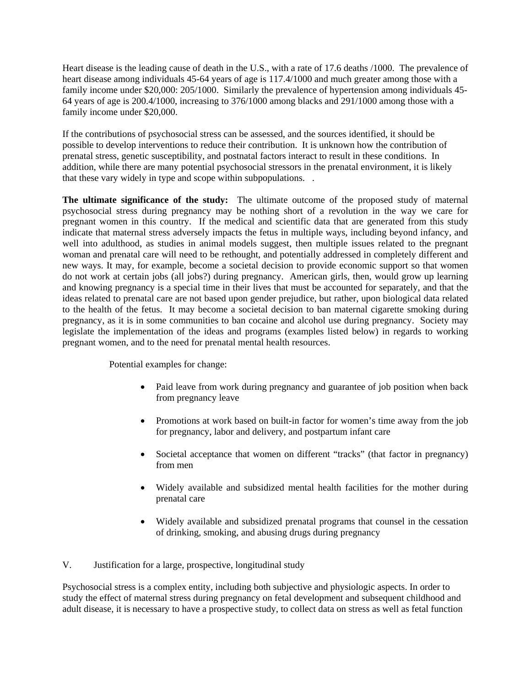Heart disease is the leading cause of death in the U.S., with a rate of 17.6 deaths /1000. The prevalence of heart disease among individuals 45-64 years of age is 117.4/1000 and much greater among those with a family income under \$20,000: 205/1000. Similarly the prevalence of hypertension among individuals 45- 64 years of age is 200.4/1000, increasing to 376/1000 among blacks and 291/1000 among those with a family income under \$20,000.

If the contributions of psychosocial stress can be assessed, and the sources identified, it should be possible to develop interventions to reduce their contribution. It is unknown how the contribution of prenatal stress, genetic susceptibility, and postnatal factors interact to result in these conditions. In addition, while there are many potential psychosocial stressors in the prenatal environment, it is likely that these vary widely in type and scope within subpopulations. .

**The ultimate significance of the study:** The ultimate outcome of the proposed study of maternal psychosocial stress during pregnancy may be nothing short of a revolution in the way we care for pregnant women in this country. If the medical and scientific data that are generated from this study indicate that maternal stress adversely impacts the fetus in multiple ways, including beyond infancy, and well into adulthood, as studies in animal models suggest, then multiple issues related to the pregnant woman and prenatal care will need to be rethought, and potentially addressed in completely different and new ways. It may, for example, become a societal decision to provide economic support so that women do not work at certain jobs (all jobs?) during pregnancy. American girls, then, would grow up learning and knowing pregnancy is a special time in their lives that must be accounted for separately, and that the ideas related to prenatal care are not based upon gender prejudice, but rather, upon biological data related to the health of the fetus. It may become a societal decision to ban maternal cigarette smoking during pregnancy, as it is in some communities to ban cocaine and alcohol use during pregnancy. Society may legislate the implementation of the ideas and programs (examples listed below) in regards to working pregnant women, and to the need for prenatal mental health resources.

Potential examples for change:

- Paid leave from work during pregnancy and guarantee of job position when back from pregnancy leave
- Promotions at work based on built-in factor for women's time away from the job for pregnancy, labor and delivery, and postpartum infant care
- Societal acceptance that women on different "tracks" (that factor in pregnancy) from men
- Widely available and subsidized mental health facilities for the mother during prenatal care
- Widely available and subsidized prenatal programs that counsel in the cessation of drinking, smoking, and abusing drugs during pregnancy

V. Justification for a large, prospective, longitudinal study

Psychosocial stress is a complex entity, including both subjective and physiologic aspects. In order to study the effect of maternal stress during pregnancy on fetal development and subsequent childhood and adult disease, it is necessary to have a prospective study, to collect data on stress as well as fetal function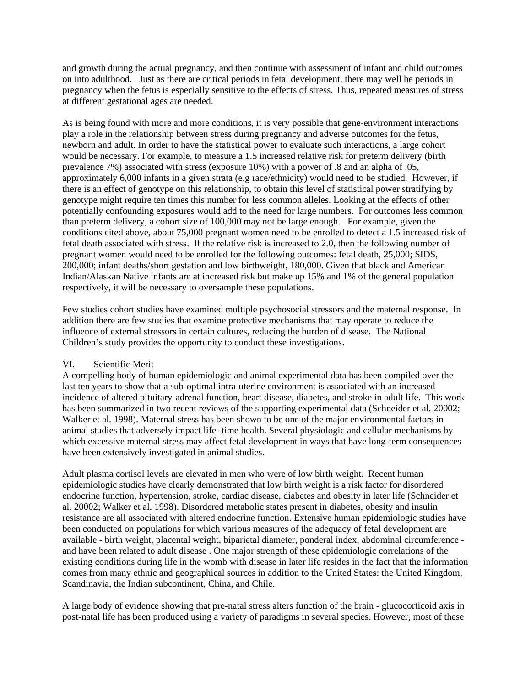and growth during the actual pregnancy, and then continue with assessment of infant and child outcomes on into adulthood. Just as there are critical periods in fetal development, there may well be periods in pregnancy when the fetus is especially sensitive to the effects of stress. Thus, repeated measures of stress at different gestational ages are needed.

As is being found with more and more conditions, it is very possible that gene-environment interactions play a role in the relationship between stress during pregnancy and adverse outcomes for the fetus, newborn and adult. In order to have the statistical power to evaluate such interactions, a large cohort would be necessary. For example, to measure a 1.5 increased relative risk for preterm delivery (birth prevalence 7%) associated with stress (exposure 10%) with a power of .8 and an alpha of .05, approximately 6,000 infants in a given strata (e.g race/ethnicity) would need to be studied. However, if there is an effect of genotype on this relationship, to obtain this level of statistical power stratifying by genotype might require ten times this number for less common alleles. Looking at the effects of other potentially confounding exposures would add to the need for large numbers. For outcomes less common than preterm delivery, a cohort size of 100,000 may not be large enough. For example, given the conditions cited above, about 75,000 pregnant women need to be enrolled to detect a 1.5 increased risk of fetal death associated with stress. If the relative risk is increased to 2.0, then the following number of pregnant women would need to be enrolled for the following outcomes: fetal death, 25,000; SIDS, 200,000; infant deaths/short gestation and low birthweight, 180,000. Given that black and American Indian/Alaskan Native infants are at increased risk but make up 15% and 1% of the general population respectively, it will be necessary to oversample these populations.

Few studies cohort studies have examined multiple psychosocial stressors and the maternal response. In addition there are few studies that examine protective mechanisms that may operate to reduce the influence of external stressors in certain cultures, reducing the burden of disease. The National Children's study provides the opportunity to conduct these investigations.

# VI. Scientific Merit

A compelling body of human epidemiologic and animal experimental data has been compiled over the last ten years to show that a sub-optimal intra-uterine environment is associated with an increased incidence of altered pituitary-adrenal function, heart disease, diabetes, and stroke in adult life. This work has been summarized in two recent reviews of the supporting experimental data (Schneider et al. 20002; Walker et al. 1998). Maternal stress has been shown to be one of the major environmental factors in animal studies that adversely impact life- time health. Several physiologic and cellular mechanisms by which excessive maternal stress may affect fetal development in ways that have long-term consequences have been extensively investigated in animal studies.

Adult plasma cortisol levels are elevated in men who were of low birth weight. Recent human epidemiologic studies have clearly demonstrated that low birth weight is a risk factor for disordered endocrine function, hypertension, stroke, cardiac disease, diabetes and obesity in later life (Schneider et al. 20002; Walker et al. 1998). Disordered metabolic states present in diabetes, obesity and insulin resistance are all associated with altered endocrine function. Extensive human epidemiologic studies have been conducted on populations for which various measures of the adequacy of fetal development are available - birth weight, placental weight, biparietal diameter, ponderal index, abdominal circumference and have been related to adult disease . One major strength of these epidemiologic correlations of the existing conditions during life in the womb with disease in later life resides in the fact that the information comes from many ethnic and geographical sources in addition to the United States: the United Kingdom, Scandinavia, the Indian subcontinent, China, and Chile.

A large body of evidence showing that pre-natal stress alters function of the brain - glucocorticoid axis in post-natal life has been produced using a variety of paradigms in several species. However, most of these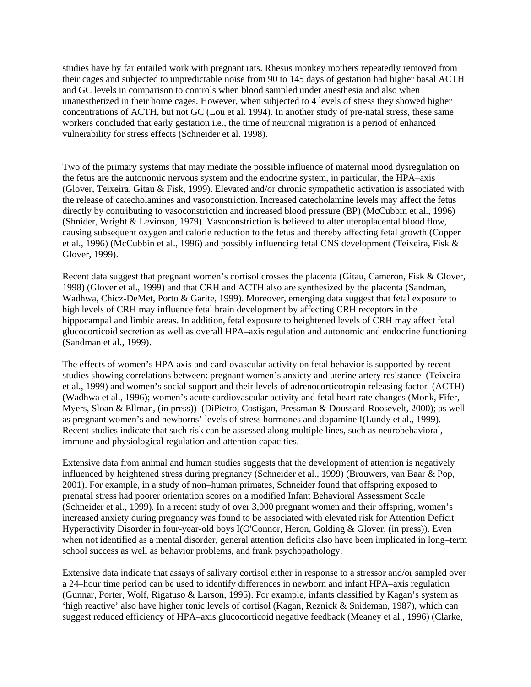studies have by far entailed work with pregnant rats. Rhesus monkey mothers repeatedly removed from their cages and subjected to unpredictable noise from 90 to 145 days of gestation had higher basal ACTH and GC levels in comparison to controls when blood sampled under anesthesia and also when unanesthetized in their home cages. However, when subjected to 4 levels of stress they showed higher concentrations of ACTH, but not GC (Lou et al. 1994). In another study of pre-natal stress, these same workers concluded that early gestation i.e., the time of neuronal migration is a period of enhanced vulnerability for stress effects (Schneider et al. 1998).

Two of the primary systems that may mediate the possible influence of maternal mood dysregulation on the fetus are the autonomic nervous system and the endocrine system, in particular, the HPA–axis (Glover, Teixeira, Gitau & Fisk, 1999). Elevated and/or chronic sympathetic activation is associated with the release of catecholamines and vasoconstriction. Increased catecholamine levels may affect the fetus directly by contributing to vasoconstriction and increased blood pressure (BP) (McCubbin et al., 1996) (Shnider, Wright & Levinson, 1979). Vasoconstriction is believed to alter uteroplacental blood flow, causing subsequent oxygen and calorie reduction to the fetus and thereby affecting fetal growth (Copper et al., 1996) (McCubbin et al., 1996) and possibly influencing fetal CNS development (Teixeira, Fisk & Glover, 1999).

Recent data suggest that pregnant women's cortisol crosses the placenta (Gitau, Cameron, Fisk & Glover, 1998) (Glover et al., 1999) and that CRH and ACTH also are synthesized by the placenta (Sandman, Wadhwa, Chicz-DeMet, Porto & Garite, 1999). Moreover, emerging data suggest that fetal exposure to high levels of CRH may influence fetal brain development by affecting CRH receptors in the hippocampal and limbic areas. In addition, fetal exposure to heightened levels of CRH may affect fetal glucocorticoid secretion as well as overall HPA–axis regulation and autonomic and endocrine functioning (Sandman et al., 1999).

The effects of women's HPA axis and cardiovascular activity on fetal behavior is supported by recent studies showing correlations between: pregnant women's anxiety and uterine artery resistance (Teixeira et al., 1999) and women's social support and their levels of adrenocorticotropin releasing factor (ACTH) (Wadhwa et al., 1996); women's acute cardiovascular activity and fetal heart rate changes (Monk, Fifer, Myers, Sloan & Ellman, (in press)) (DiPietro, Costigan, Pressman & Doussard-Roosevelt, 2000); as well as pregnant women's and newborns' levels of stress hormones and dopamine I(Lundy et al., 1999). Recent studies indicate that such risk can be assessed along multiple lines, such as neurobehavioral, immune and physiological regulation and attention capacities.

Extensive data from animal and human studies suggests that the development of attention is negatively influenced by heightened stress during pregnancy (Schneider et al., 1999) (Brouwers, van Baar & Pop, 2001). For example, in a study of non–human primates, Schneider found that offspring exposed to prenatal stress had poorer orientation scores on a modified Infant Behavioral Assessment Scale (Schneider et al., 1999). In a recent study of over 3,000 pregnant women and their offspring, women's increased anxiety during pregnancy was found to be associated with elevated risk for Attention Deficit Hyperactivity Disorder in four-year-old boys I(O'Connor, Heron, Golding & Glover, (in press)). Even when not identified as a mental disorder, general attention deficits also have been implicated in long–term school success as well as behavior problems, and frank psychopathology.

Extensive data indicate that assays of salivary cortisol either in response to a stressor and/or sampled over a 24–hour time period can be used to identify differences in newborn and infant HPA–axis regulation (Gunnar, Porter, Wolf, Rigatuso & Larson, 1995). For example, infants classified by Kagan's system as 'high reactive' also have higher tonic levels of cortisol (Kagan, Reznick & Snideman, 1987), which can suggest reduced efficiency of HPA–axis glucocorticoid negative feedback (Meaney et al., 1996) (Clarke,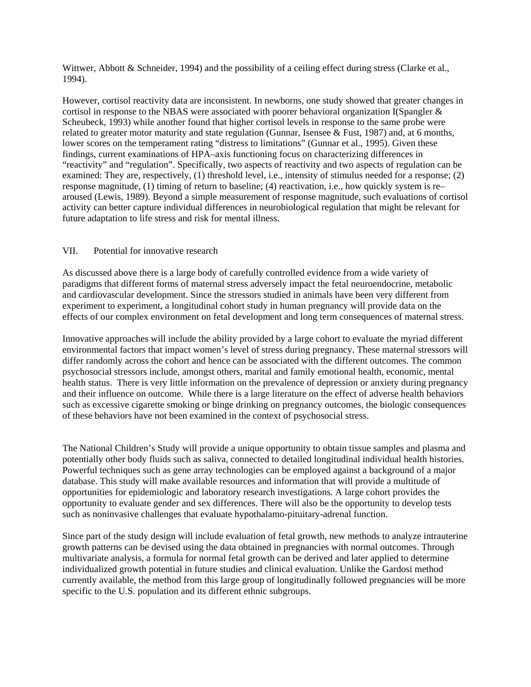Wittwer, Abbott & Schneider, 1994) and the possibility of a ceiling effect during stress (Clarke et al., 1994).

However, cortisol reactivity data are inconsistent. In newborns, one study showed that greater changes in cortisol in response to the NBAS were associated with poorer behavioral organization I(Spangler & Scheubeck, 1993) while another found that higher cortisol levels in response to the same probe were related to greater motor maturity and state regulation (Gunnar, Isensee & Fust, 1987) and, at 6 months, lower scores on the temperament rating "distress to limitations" (Gunnar et al., 1995). Given these findings, current examinations of HPA–axis functioning focus on characterizing differences in "reactivity" and "regulation". Specifically, two aspects of reactivity and two aspects of regulation can be examined: They are, respectively, (1) threshold level, i.e., intensity of stimulus needed for a response; (2) response magnitude, (1) timing of return to baseline; (4) reactivation, i.e., how quickly system is re– aroused (Lewis, 1989). Beyond a simple measurement of response magnitude, such evaluations of cortisol activity can better capture individual differences in neurobiological regulation that might be relevant for future adaptation to life stress and risk for mental illness.

## VII. Potential for innovative research

As discussed above there is a large body of carefully controlled evidence from a wide variety of paradigms that different forms of maternal stress adversely impact the fetal neuroendocrine, metabolic and cardiovascular development. Since the stressors studied in animals have been very different from experiment to experiment, a longitudinal cohort study in human pregnancy will provide data on the effects of our complex environment on fetal development and long term consequences of maternal stress.

Innovative approaches will include the ability provided by a large cohort to evaluate the myriad different environmental factors that impact women's level of stress during pregnancy. These maternal stressors will differ randomly across the cohort and hence can be associated with the different outcomes. The common psychosocial stressors include, amongst others, marital and family emotional health, economic, mental health status. There is very little information on the prevalence of depression or anxiety during pregnancy and their influence on outcome. While there is a large literature on the effect of adverse health behaviors such as excessive cigarette smoking or binge drinking on pregnancy outcomes, the biologic consequences of these behaviors have not been examined in the context of psychosocial stress.

The National Children's Study will provide a unique opportunity to obtain tissue samples and plasma and potentially other body fluids such as saliva, connected to detailed longitudinal individual health histories. Powerful techniques such as gene array technologies can be employed against a background of a major database. This study will make available resources and information that will provide a multitude of opportunities for epidemiologic and laboratory research investigations. A large cohort provides the opportunity to evaluate gender and sex differences. There will also be the opportunity to develop tests such as noninvasive challenges that evaluate hypothalamo-pituitary-adrenal function.

Since part of the study design will include evaluation of fetal growth, new methods to analyze intrauterine growth patterns can be devised using the data obtained in pregnancies with normal outcomes. Through multivariate analysis, a formula for normal fetal growth can be derived and later applied to determine individualized growth potential in future studies and clinical evaluation. Unlike the Gardosi method currently available, the method from this large group of longitudinally followed pregnancies will be more specific to the U.S. population and its different ethnic subgroups.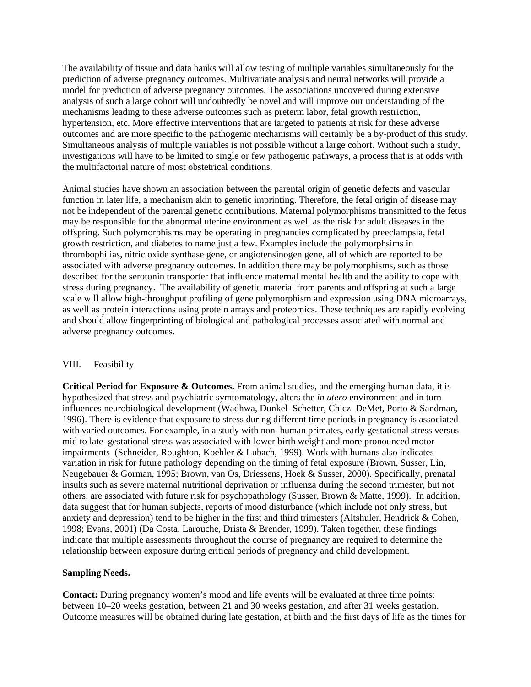The availability of tissue and data banks will allow testing of multiple variables simultaneously for the prediction of adverse pregnancy outcomes. Multivariate analysis and neural networks will provide a model for prediction of adverse pregnancy outcomes. The associations uncovered during extensive analysis of such a large cohort will undoubtedly be novel and will improve our understanding of the mechanisms leading to these adverse outcomes such as preterm labor, fetal growth restriction, hypertension, etc. More effective interventions that are targeted to patients at risk for these adverse outcomes and are more specific to the pathogenic mechanisms will certainly be a by-product of this study. Simultaneous analysis of multiple variables is not possible without a large cohort. Without such a study, investigations will have to be limited to single or few pathogenic pathways, a process that is at odds with the multifactorial nature of most obstetrical conditions.

Animal studies have shown an association between the parental origin of genetic defects and vascular function in later life, a mechanism akin to genetic imprinting. Therefore, the fetal origin of disease may not be independent of the parental genetic contributions. Maternal polymorphisms transmitted to the fetus may be responsible for the abnormal uterine environment as well as the risk for adult diseases in the offspring. Such polymorphisms may be operating in pregnancies complicated by preeclampsia, fetal growth restriction, and diabetes to name just a few. Examples include the polymorphsims in thrombophilias, nitric oxide synthase gene, or angiotensinogen gene, all of which are reported to be associated with adverse pregnancy outcomes. In addition there may be polymorphisms, such as those described for the serotonin transporter that influence maternal mental health and the ability to cope with stress during pregnancy. The availability of genetic material from parents and offspring at such a large scale will allow high-throughput profiling of gene polymorphism and expression using DNA microarrays, as well as protein interactions using protein arrays and proteomics. These techniques are rapidly evolving and should allow fingerprinting of biological and pathological processes associated with normal and adverse pregnancy outcomes.

### VIII. Feasibility

**Critical Period for Exposure & Outcomes.** From animal studies, and the emerging human data, it is hypothesized that stress and psychiatric symtomatology, alters the *in utero* environment and in turn influences neurobiological development (Wadhwa, Dunkel–Schetter, Chicz–DeMet, Porto & Sandman, 1996). There is evidence that exposure to stress during different time periods in pregnancy is associated with varied outcomes. For example, in a study with non–human primates, early gestational stress versus mid to late–gestational stress was associated with lower birth weight and more pronounced motor impairments (Schneider, Roughton, Koehler & Lubach, 1999). Work with humans also indicates variation in risk for future pathology depending on the timing of fetal exposure (Brown, Susser, Lin, Neugebauer & Gorman, 1995; Brown, van Os, Driessens, Hoek & Susser, 2000). Specifically, prenatal insults such as severe maternal nutritional deprivation or influenza during the second trimester, but not others, are associated with future risk for psychopathology (Susser, Brown & Matte, 1999). In addition, data suggest that for human subjects, reports of mood disturbance (which include not only stress, but anxiety and depression) tend to be higher in the first and third trimesters (Altshuler, Hendrick & Cohen, 1998; Evans, 2001) (Da Costa, Larouche, Drista & Brender, 1999). Taken together, these findings indicate that multiple assessments throughout the course of pregnancy are required to determine the relationship between exposure during critical periods of pregnancy and child development.

### **Sampling Needs.**

**Contact:** During pregnancy women's mood and life events will be evaluated at three time points: between 10–20 weeks gestation, between 21 and 30 weeks gestation, and after 31 weeks gestation. Outcome measures will be obtained during late gestation, at birth and the first days of life as the times for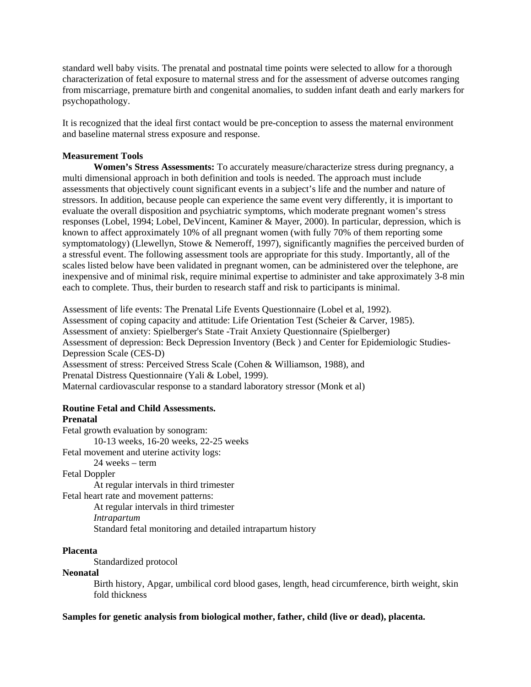standard well baby visits. The prenatal and postnatal time points were selected to allow for a thorough characterization of fetal exposure to maternal stress and for the assessment of adverse outcomes ranging from miscarriage, premature birth and congenital anomalies, to sudden infant death and early markers for psychopathology.

It is recognized that the ideal first contact would be pre-conception to assess the maternal environment and baseline maternal stress exposure and response.

### **Measurement Tools**

**Women's Stress Assessments:** To accurately measure/characterize stress during pregnancy, a multi dimensional approach in both definition and tools is needed. The approach must include assessments that objectively count significant events in a subject's life and the number and nature of stressors. In addition, because people can experience the same event very differently, it is important to evaluate the overall disposition and psychiatric symptoms, which moderate pregnant women's stress responses (Lobel, 1994; Lobel, DeVincent, Kaminer & Mayer, 2000). In particular, depression, which is known to affect approximately 10% of all pregnant women (with fully 70% of them reporting some symptomatology) (Llewellyn, Stowe & Nemeroff, 1997), significantly magnifies the perceived burden of a stressful event. The following assessment tools are appropriate for this study. Importantly, all of the scales listed below have been validated in pregnant women, can be administered over the telephone, are inexpensive and of minimal risk, require minimal expertise to administer and take approximately 3-8 min each to complete. Thus, their burden to research staff and risk to participants is minimal.

Assessment of life events: The Prenatal Life Events Questionnaire (Lobel et al, 1992). Assessment of coping capacity and attitude: Life Orientation Test (Scheier & Carver, 1985). Assessment of anxiety: Spielberger's State -Trait Anxiety Questionnaire (Spielberger) Assessment of depression: Beck Depression Inventory (Beck ) and Center for Epidemiologic Studies-Depression Scale (CES-D) Assessment of stress: Perceived Stress Scale (Cohen & Williamson, 1988), and Prenatal Distress Questionnaire (Yali & Lobel, 1999). Maternal cardiovascular response to a standard laboratory stressor (Monk et al)

### **Routine Fetal and Child Assessments. Prenatal**

Fetal growth evaluation by sonogram: 10-13 weeks, 16-20 weeks, 22-25 weeks Fetal movement and uterine activity logs: 24 weeks – term Fetal Doppler At regular intervals in third trimester Fetal heart rate and movement patterns: At regular intervals in third trimester *Intrapartum*  Standard fetal monitoring and detailed intrapartum history

# **Placenta**

Standardized protocol

## **Neonatal**

Birth history, Apgar, umbilical cord blood gases, length, head circumference, birth weight, skin fold thickness

**Samples for genetic analysis from biological mother, father, child (live or dead), placenta.**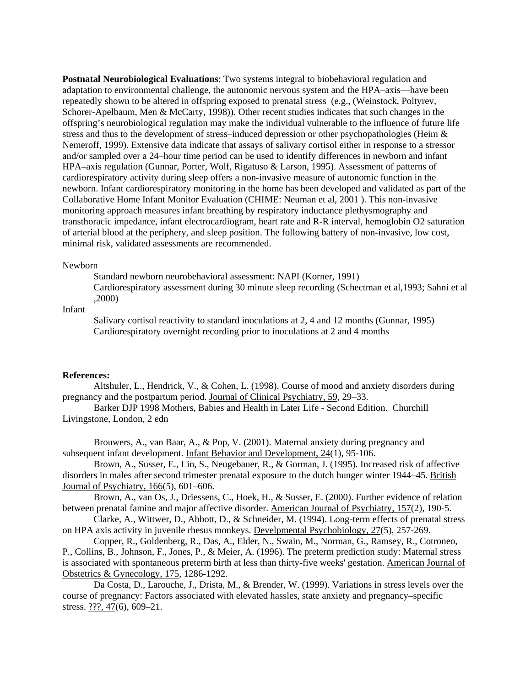**Postnatal Neurobiological Evaluations**: Two systems integral to biobehavioral regulation and adaptation to environmental challenge, the autonomic nervous system and the HPA–axis—have been repeatedly shown to be altered in offspring exposed to prenatal stress (e.g., (Weinstock, Poltyrev, Schorer-Apelbaum, Men & McCarty, 1998)). Other recent studies indicates that such changes in the offspring's neurobiological regulation may make the individual vulnerable to the influence of future life stress and thus to the development of stress–induced depression or other psychopathologies (Heim & Nemeroff, 1999). Extensive data indicate that assays of salivary cortisol either in response to a stressor and/or sampled over a 24–hour time period can be used to identify differences in newborn and infant HPA–axis regulation (Gunnar, Porter, Wolf, Rigatuso & Larson, 1995). Assessment of patterns of cardiorespiratory activity during sleep offers a non-invasive measure of autonomic function in the newborn. Infant cardiorespiratory monitoring in the home has been developed and validated as part of the Collaborative Home Infant Monitor Evaluation (CHIME: Neuman et al, 2001 ). This non-invasive monitoring approach measures infant breathing by respiratory inductance plethysmography and transthoracic impedance, infant electrocardiogram, heart rate and R-R interval, hemoglobin O2 saturation of arterial blood at the periphery, and sleep position. The following battery of non-invasive, low cost, minimal risk, validated assessments are recommended.

#### Newborn

Standard newborn neurobehavioral assessment: NAPI (Korner, 1991)

Cardiorespiratory assessment during 30 minute sleep recording (Schectman et al,1993; Sahni et al ,2000)

Infant

Salivary cortisol reactivity to standard inoculations at 2, 4 and 12 months (Gunnar, 1995) Cardiorespiratory overnight recording prior to inoculations at 2 and 4 months

#### **References:**

Altshuler, L., Hendrick, V., & Cohen, L. (1998). Course of mood and anxiety disorders during pregnancy and the postpartum period. Journal of Clinical Psychiatry, 59, 29–33.

Barker DJP 1998 Mothers, Babies and Health in Later Life - Second Edition. Churchill Livingstone, London, 2 edn

Brouwers, A., van Baar, A., & Pop, V. (2001). Maternal anxiety during pregnancy and subsequent infant development. Infant Behavior and Development, 24(1), 95-106.

Brown, A., Susser, E., Lin, S., Neugebauer, R., & Gorman, J. (1995). Increased risk of affective disorders in males after second trimester prenatal exposure to the dutch hunger winter 1944–45. British Journal of Psychiatry, 166(5), 601–606.

Brown, A., van Os, J., Driessens, C., Hoek, H., & Susser, E. (2000). Further evidence of relation between prenatal famine and major affective disorder. American Journal of Psychiatry, 157(2), 190-5.

Clarke, A., Wittwer, D., Abbott, D., & Schneider, M. (1994). Long-term effects of prenatal stress on HPA axis activity in juvenile rhesus monkeys. Develpmental Psychobiology, 27(5), 257-269.

Copper, R., Goldenberg, R., Das, A., Elder, N., Swain, M., Norman, G., Ramsey, R., Cotroneo, P., Collins, B., Johnson, F., Jones, P., & Meier, A. (1996). The preterm prediction study: Maternal stress is associated with spontaneous preterm birth at less than thirty-five weeks' gestation. American Journal of Obstetrics & Gynecology, 175, 1286-1292.

Da Costa, D., Larouche, J., Drista, M., & Brender, W. (1999). Variations in stress levels over the course of pregnancy: Factors associated with elevated hassles, state anxiety and pregnancy–specific stress. ???, 47(6), 609–21.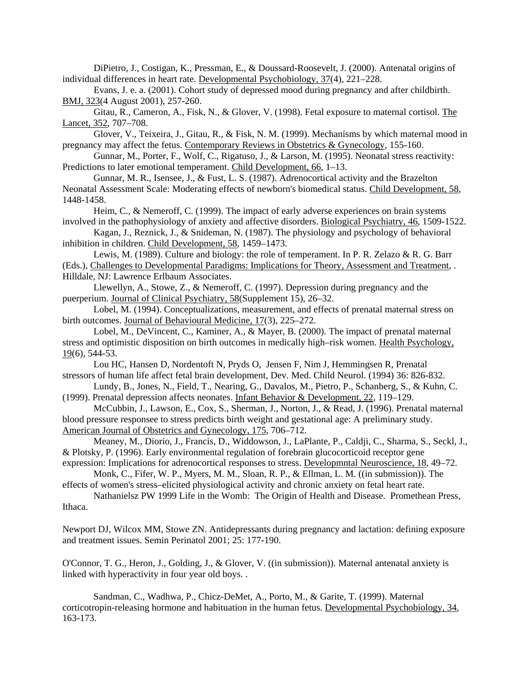DiPietro, J., Costigan, K., Pressman, E., & Doussard-Roosevelt, J. (2000). Antenatal origins of individual differences in heart rate. Developmental Psychobiology, 37(4), 221–228.

Evans, J. e. a. (2001). Cohort study of depressed mood during pregnancy and after childbirth. BMJ, 323(4 August 2001), 257-260.

Gitau, R., Cameron, A., Fisk, N., & Glover, V. (1998). Fetal exposure to maternal cortisol. The Lancet, 352, 707–708.

Glover, V., Teixeira, J., Gitau, R., & Fisk, N. M. (1999). Mechanisms by which maternal mood in pregnancy may affect the fetus. Contemporary Reviews in Obstetrics & Gynecology, 155-160.

Gunnar, M., Porter, F., Wolf, C., Rigatuso, J., & Larson, M. (1995). Neonatal stress reactivity: Predictions to later emotional temperament. Child Development, 66, 1–13.

Gunnar, M. R., Isensee, J., & Fust, L. S. (1987). Adrenocortical activity and the Brazelton Neonatal Assessment Scale: Moderating effects of newborn's biomedical status. Child Development, 58, 1448-1458.

Heim, C., & Nemeroff, C. (1999). The impact of early adverse experiences on brain systems involved in the pathophysiology of anxiety and affective disorders. Biological Psychiatry, 46, 1509-1522.

Kagan, J., Reznick, J., & Snideman, N. (1987). The physiology and psychology of behavioral inhibition in children. Child Development, 58, 1459–1473.

Lewis, M. (1989). Culture and biology: the role of temperament. In P. R. Zelazo & R. G. Barr (Eds.), Challenges to Developmental Paradigms: Implications for Theory, Assessment and Treatment, . Hilldale, NJ: Lawrence Erlbaum Associates.

Llewellyn, A., Stowe, Z., & Nemeroff, C. (1997). Depression during pregnancy and the puerperium. Journal of Clinical Psychiatry, 58(Supplement 15), 26–32.

Lobel, M. (1994). Conceptualizations, measurement, and effects of prenatal maternal stress on birth outcomes. Journal of Behavioural Medicine, 17(3), 225–272.

Lobel, M., DeVincent, C., Kaminer, A., & Mayer, B. (2000). The impact of prenatal maternal stress and optimistic disposition on birth outcomes in medically high–risk women. Health Psychology, 19(6), 544-53.

Lou HC, Hansen D, Nordentoft N, Pryds O, Jensen F, Nim J, Hemmingsen R, Prenatal stressors of human life affect fetal brain development, Dev. Med. Child Neurol. (1994) 36: 826-832.

Lundy, B., Jones, N., Field, T., Nearing, G., Davalos, M., Pietro, P., Schanberg, S., & Kuhn, C. (1999). Prenatal depression affects neonates. Infant Behavior & Development, 22, 119–129.

McCubbin, J., Lawson, E., Cox, S., Sherman, J., Norton, J., & Read, J. (1996). Prenatal maternal blood pressure responsee to stress predicts birth weight and gestational age: A preliminary study. American Journal of Obstetrics and Gynecology, 175, 706–712.

Meaney, M., Diorio, J., Francis, D., Widdowson, J., LaPlante, P., Caldji, C., Sharma, S., Seckl, J., & Plotsky, P. (1996). Early environmental regulation of forebrain glucocorticoid receptor gene expression: Implications for adrenocortical responses to stress. Developmntal Neuroscience, 18, 49–72.

Monk, C., Fifer, W. P., Myers, M. M., Sloan, R. P., & Ellman, L. M. ((in submission)). The effects of women's stress–elicited physiological activity and chronic anxiety on fetal heart rate.

Nathanielsz PW 1999 Life in the Womb: The Origin of Health and Disease. Promethean Press,

Ithaca.

Newport DJ, Wilcox MM, Stowe ZN. Antidepressants during pregnancy and lactation: defining exposure and treatment issues. Semin Perinatol 2001; 25: 177-190.

O'Connor, T. G., Heron, J., Golding, J., & Glover, V. ((in submission)). Maternal antenatal anxiety is linked with hyperactivity in four year old boys. .

Sandman, C., Wadhwa, P., Chicz-DeMet, A., Porto, M., & Garite, T. (1999). Maternal corticotropin-releasing hormone and habituation in the human fetus. Developmental Psychobiology, 34, 163-173.